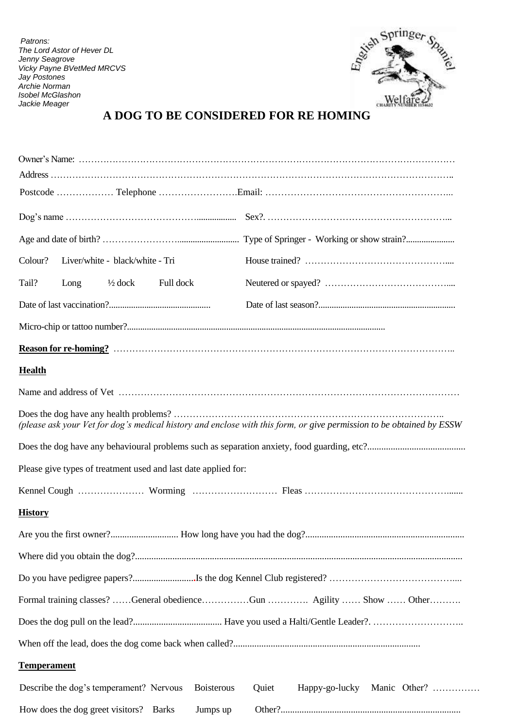*Patrons: The Lord Astor of Hever DL Jenny Seagrove Vicky Payne BVetMed MRCVS Jay Postones Archie Norman Isobel McGlashon Jackie Meager*



## **A DOG TO BE CONSIDERED FOR RE HOMING**

| Liver/white - black/white - Tri<br>Colour?                                                                           |                                      |
|----------------------------------------------------------------------------------------------------------------------|--------------------------------------|
| Tail?<br>$\frac{1}{2}$ dock<br>Long<br>Full dock                                                                     |                                      |
|                                                                                                                      |                                      |
|                                                                                                                      |                                      |
|                                                                                                                      |                                      |
| <b>Health</b>                                                                                                        |                                      |
|                                                                                                                      |                                      |
| (please ask your Vet for dog's medical history and enclose with this form, or give permission to be obtained by ESSW |                                      |
|                                                                                                                      |                                      |
| Please give types of treatment used and last date applied for:                                                       |                                      |
|                                                                                                                      |                                      |
| <b>History</b>                                                                                                       |                                      |
|                                                                                                                      |                                      |
|                                                                                                                      |                                      |
|                                                                                                                      |                                      |
| Formal training classes? General obedienceGun  Agility  Show  Other                                                  |                                      |
|                                                                                                                      |                                      |
|                                                                                                                      |                                      |
| <b>Temperament</b>                                                                                                   |                                      |
| Describe the dog's temperament? Nervous<br><b>Boisterous</b>                                                         | Happy-go-lucky Manic Other?<br>Quiet |
| How does the dog greet visitors? Barks<br>Jumps up                                                                   |                                      |